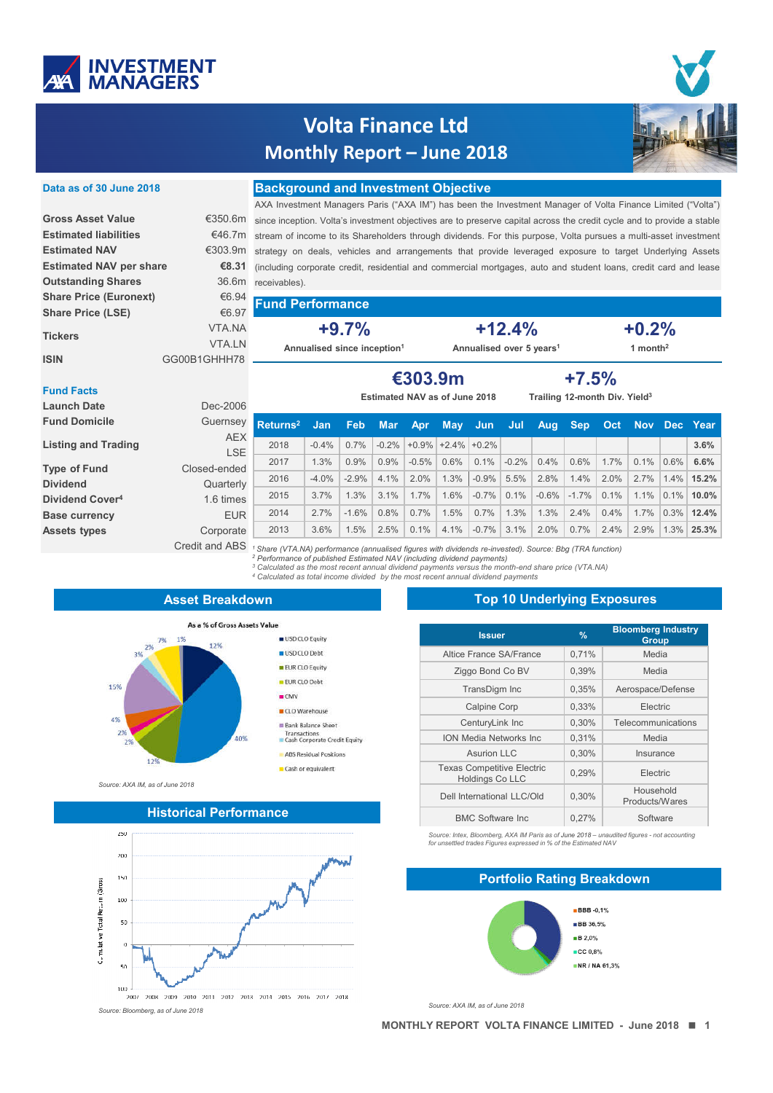

**ISIN GG00B1GHHH78** 

# **Volta Finance Ltd Monthly Report – June 2018**



### **Background and Investment Objective Data as of 30 June 2018**

AXA Investment Managers Paris ("AXA IM") has been the Investment Manager of Volta Finance Limited ("Volta") since inception. Volta's investment objectives are to preserve capital across the credit cycle and to provide a stable €46.7m stream of income to its Shareholders through dividends. For this purpose, Volta pursues a multi-asset investment €303.9m strategy on deals, vehicles and arrangements that provide leveraged exposure to target Underlying Assets (including corporate credit, residential and commercial mortgages, auto and student loans, credit card and lease receivables). **Gross Asset Value** €350.6m **Estimated NAV per share €8.31 Outstanding Shares** 36.6m **Share Price (Euronext)** €6.94

#### **Fund Performance Share Price (LSE)** €6.97

**+9.7% Annualised since inception1**

**+12.4% Annualised over 5 years1**

**+7.5%**

**+0.2% 1 month2**

### **Fund Facts**

**Tickers**

**Estimated liabilities Estimated NAV** 

| -----------                 |                | <b>Estimated NAV as of June 2018</b><br>Trailing 12-month Div. Yield <sup>3</sup>                      |            |            |            |         |                      |         |         |         |            |            |         |         |              |
|-----------------------------|----------------|--------------------------------------------------------------------------------------------------------|------------|------------|------------|---------|----------------------|---------|---------|---------|------------|------------|---------|---------|--------------|
| <b>Launch Date</b>          | Dec-2006       |                                                                                                        |            |            |            |         |                      |         |         |         |            |            |         |         |              |
| <b>Fund Domicile</b>        | Guernsey       | $R$ eturns <sup>2</sup>                                                                                | <b>Jan</b> | <b>Feb</b> | <b>Mar</b> |         | Apr May              | - Jun   | Jul     | Aug     | <b>Sep</b> | <b>Oct</b> |         |         | Nov Dec Year |
| <b>Listing and Trading</b>  | <b>AEX</b>     | 2018                                                                                                   | $-0.4%$    | 0.7%       | $-0.2\%$   |         | $+0.9\%$ +2.4% +0.2% |         |         |         |            |            |         |         | 3.6%         |
|                             | <b>LSE</b>     | 2017                                                                                                   | 1.3%       | 0.9%       | 0.9%       | $-0.5%$ | $0.6\%$              | 0.1%    | $-0.2%$ | 0.4%    | 0.6%       | 1.7%       | $0.1\%$ | $0.6\%$ | 6.6%         |
| <b>Type of Fund</b>         | Closed-ended   |                                                                                                        |            |            |            |         |                      |         |         |         |            |            |         |         |              |
| <b>Dividend</b>             | Quarterly      | 2016                                                                                                   | $-4.0%$    | $-2.9%$    | $4.1\%$    | 2.0%    | 1.3%                 | $-0.9%$ | 5.5%    | 2.8%    | 1.4%       | 2.0%       | 2.7%    | $1.4\%$ | 15.2%        |
| Dividend Cover <sup>4</sup> | 1.6 times      | 2015                                                                                                   | 3.7%       | 1.3%       | 3.1%       | 1.7%    | 1.6%                 | $-0.7%$ | 0.1%    | $-0.6%$ | $-1.7\%$   | $0.1\%$    | $1.1\%$ | $0.1\%$ | $10.0\%$     |
| <b>Base currency</b>        | <b>EUR</b>     | 2014                                                                                                   | 2.7%       | $-1.6%$    | 0.8%       | $0.7\%$ | 1.5%                 | 0.7%    | 1.3%    | 1.3%    | 2.4%       | 0.4%       | 1.7%    | $0.3\%$ | 12.4%        |
| <b>Assets types</b>         | Corporate      | 2013                                                                                                   | 3.6%       | 1.5%       | 2.5%       | 0.1%    | 4.1%                 | $-0.7%$ | 3.1%    | 2.0%    | 0.7%       | 2.4%       | 2.9%    |         | 1.3% 25.3%   |
|                             | Credit and ABS | Share (VTA.NA) performance (annualised figures with dividends re-invested). Source: Bbg (TRA function) |            |            |            |         |                      |         |         |         |            |            |         |         |              |

*<sup>1</sup> Share (VTA.NA) performance (annualised figures with dividends re-invested). Source: Bbg (TRA function) <sup>2</sup> Performance of published Estimated NAV (including dividend payments)*

*<sup>3</sup> Calculated as the most recent annual dividend payments versus the month-end share price (VTA.NA)*

**€303.9m**

*<sup>4</sup> Calculated as total income divided by the most recent annual dividend payments* 

# **Asset Breakdown**

VTA.NA VTA.LN



*Source: AXA IM, as of June 2018*

### **Historical Performance**



**Top 10 Underlying Exposures**

| <b>Issuer</b>                                        | $\frac{9}{6}$ | <b>Bloomberg Industry</b><br><b>Group</b> |
|------------------------------------------------------|---------------|-------------------------------------------|
| Altice France SA/France                              | 0,71%         | Media                                     |
| Ziggo Bond Co BV                                     | 0,39%         | Media                                     |
| TransDigm Inc                                        | 0,35%         | Aerospace/Defense                         |
| <b>Calpine Corp</b>                                  | 0.33%         | Electric                                  |
| CenturyLink Inc                                      | 0,30%         | Telecommunications                        |
| <b>ION Media Networks Inc.</b>                       | 0.31%         | Media                                     |
| Asurion LLC                                          | 0.30%         | Insurance                                 |
| <b>Texas Competitive Electric</b><br>Holdings Co LLC | 0,29%         | Electric                                  |
| Dell International LLC/Old                           | 0,30%         | Household<br>Products/Wares               |
| <b>BMC Software Inc.</b>                             | 0.27%         | Software                                  |

*Source: Intex, Bloomberg, AXA IM Paris as of June 2018 – unaudited figures - not accounting for unsettled trades Figures expressed in % of the Estimated NAV*



**Portfolio Rating Breakdown**

*Source: AXA IM, as of June 2018*

**MONTHLY REPORT VOLTA FINANCE LIMITED - June 2018 1**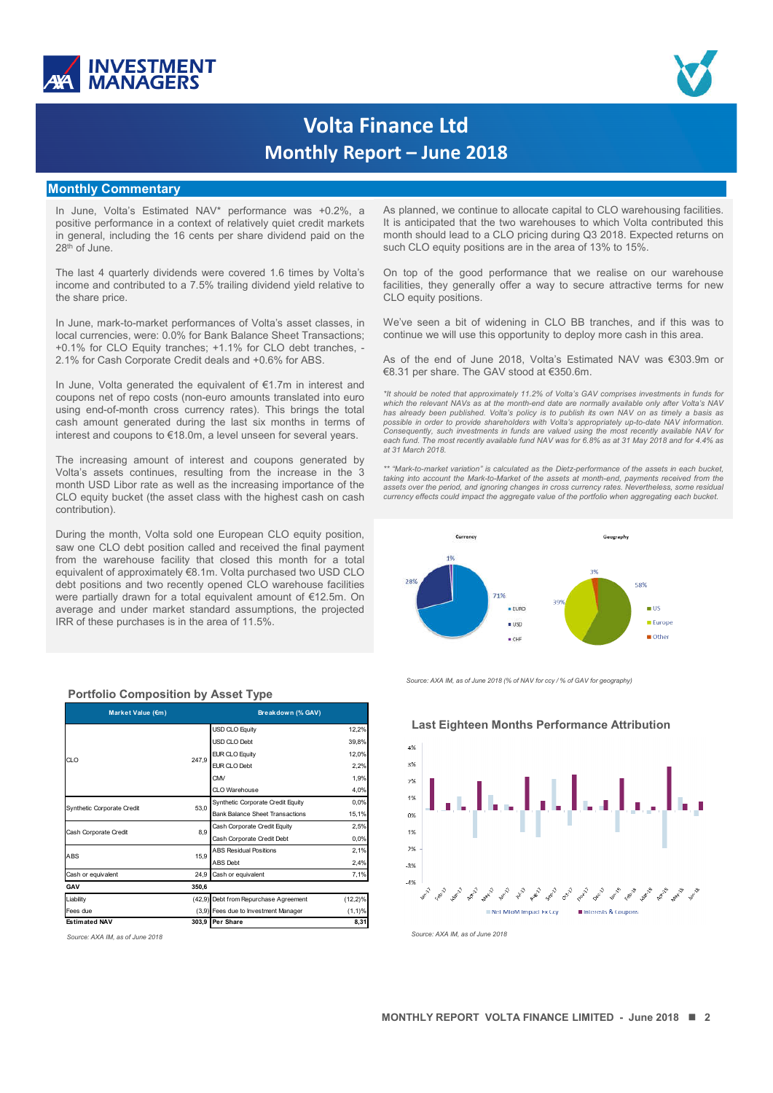



# **Volta Finance Ltd Monthly Report – June 2018**

### **Monthly Commentary**

In June, Volta's Estimated NAV\* performance was +0.2%, a positive performance in a context of relatively quiet credit markets in general, including the 16 cents per share dividend paid on the 28<sup>th</sup> of June.

The last 4 quarterly dividends were covered 1.6 times by Volta's income and contributed to a 7.5% trailing dividend yield relative to the share price.

In June, mark-to-market performances of Volta's asset classes, in local currencies, were: 0.0% for Bank Balance Sheet Transactions; +0.1% for CLO Equity tranches; +1.1% for CLO debt tranches, - 2.1% for Cash Corporate Credit deals and +0.6% for ABS.

In June, Volta generated the equivalent of €1.7m in interest and coupons net of repo costs (non-euro amounts translated into euro using end-of-month cross currency rates). This brings the total cash amount generated during the last six months in terms of interest and coupons to €18.0m, a level unseen for several years.

The increasing amount of interest and coupons generated by Volta's assets continues, resulting from the increase in the 3 month USD Libor rate as well as the increasing importance of the CLO equity bucket (the asset class with the highest cash on cash contribution).

During the month, Volta sold one European CLO equity position, saw one CLO debt position called and received the final payment from the warehouse facility that closed this month for a total equivalent of approximately €8.1m. Volta purchased two USD CLO debt positions and two recently opened CLO warehouse facilities were partially drawn for a total equivalent amount of €12.5m. On average and under market standard assumptions, the projected IRR of these purchases is in the area of 11.5%.

| Market Value (€m)          |                                                                                                                                                                                                                                                                                                                                                                                           | Breakdown (% GAV)     |            |
|----------------------------|-------------------------------------------------------------------------------------------------------------------------------------------------------------------------------------------------------------------------------------------------------------------------------------------------------------------------------------------------------------------------------------------|-----------------------|------------|
|                            |                                                                                                                                                                                                                                                                                                                                                                                           | <b>USD CLO Equity</b> | 12,2%      |
|                            |                                                                                                                                                                                                                                                                                                                                                                                           | USD CLO Debt          | 39,8%      |
| CLO <sub>1</sub>           |                                                                                                                                                                                                                                                                                                                                                                                           | <b>EUR CLO Equity</b> | 12,0%      |
|                            |                                                                                                                                                                                                                                                                                                                                                                                           | EUR CLO Debt          | 2,2%       |
|                            |                                                                                                                                                                                                                                                                                                                                                                                           | CMV                   | 1,9%       |
|                            | 247,9<br>CLO Warehouse<br>Synthetic Corporate Credit Equity<br>53.0<br><b>Bank Balance Sheet Transactions</b><br>Cash Corporate Credit Equity<br>8.9<br>Cash Corporate Credit Debt<br><b>ABS Residual Positions</b><br>15.9<br><b>ABS Debt</b><br>24,9<br>Cash or equivalent<br>350,6<br>(42,9) Debt from Repurchase Agreement<br>(3,9) Fees due to Investment Manager<br>303,9 Per Share | 4,0%                  |            |
|                            |                                                                                                                                                                                                                                                                                                                                                                                           |                       | 0,0%       |
| Synthetic Corporate Credit |                                                                                                                                                                                                                                                                                                                                                                                           |                       | 15,1%      |
| Cash Corporate Credit      |                                                                                                                                                                                                                                                                                                                                                                                           |                       | 2,5%       |
|                            |                                                                                                                                                                                                                                                                                                                                                                                           |                       | 0,0%       |
| <b>ABS</b>                 |                                                                                                                                                                                                                                                                                                                                                                                           |                       | 2,1%       |
|                            |                                                                                                                                                                                                                                                                                                                                                                                           |                       | 2,4%       |
| Cash or equivalent         |                                                                                                                                                                                                                                                                                                                                                                                           |                       | 7,1%       |
| GAV                        |                                                                                                                                                                                                                                                                                                                                                                                           |                       |            |
| Liability                  |                                                                                                                                                                                                                                                                                                                                                                                           |                       | $(12,2)\%$ |
| Fees due                   |                                                                                                                                                                                                                                                                                                                                                                                           |                       | (1,1)%     |
| <b>Estimated NAV</b>       |                                                                                                                                                                                                                                                                                                                                                                                           |                       | 8,31       |

**Portfolio Composition by Asset Type**

As planned, we continue to allocate capital to CLO warehousing facilities. It is anticipated that the two warehouses to which Volta contributed this month should lead to a CLO pricing during Q3 2018. Expected returns on such CLO equity positions are in the area of 13% to 15%.

On top of the good performance that we realise on our warehouse facilities, they generally offer a way to secure attractive terms for new CLO equity positions.

We've seen a bit of widening in CLO BB tranches, and if this was to continue we will use this opportunity to deploy more cash in this area.

As of the end of June 2018, Volta's Estimated NAV was €303.9m or €8.31 per share. The GAV stood at €350.6m.

*\*It should be noted that approximately 11.2% of Volta's GAV comprises investments in funds for* which the relevant NAVs as at the month-end date are normally available only after Volta's NAV<br>has already been published. Volta's policy is to publish its own NAV on as timely a basis as *possible in order to provide shareholders with Volta's appropriately up-to-date NAV information. Consequently, such investments in funds are valued using the most recently available NAV for* each fund. The most recently available fund NAV was for 6.8% as at 31 May 2018 and for 4.4% as *at 31 March 2018.*

assets over the period, and ignoring changes in cross currency rates. Nevertheless, some residua<br>currency effects could impact the aggregate value of the portfolio when aggregating each bucket. \*\* "Mark-to-market variation" is calculated as the Dietz-performance of the assets in each bucket,<br>taking into account the Mark-to-Market of the assets at month-end, payments received from the



*Source: AXA IM, as of June 2018 (% of NAV for ccy / % of GAV for geography)*

### **Last Eighteen Months Performance Attribution**



*Source: AXA IM, as of June 2018 Source: AXA IM, as of June 2018*